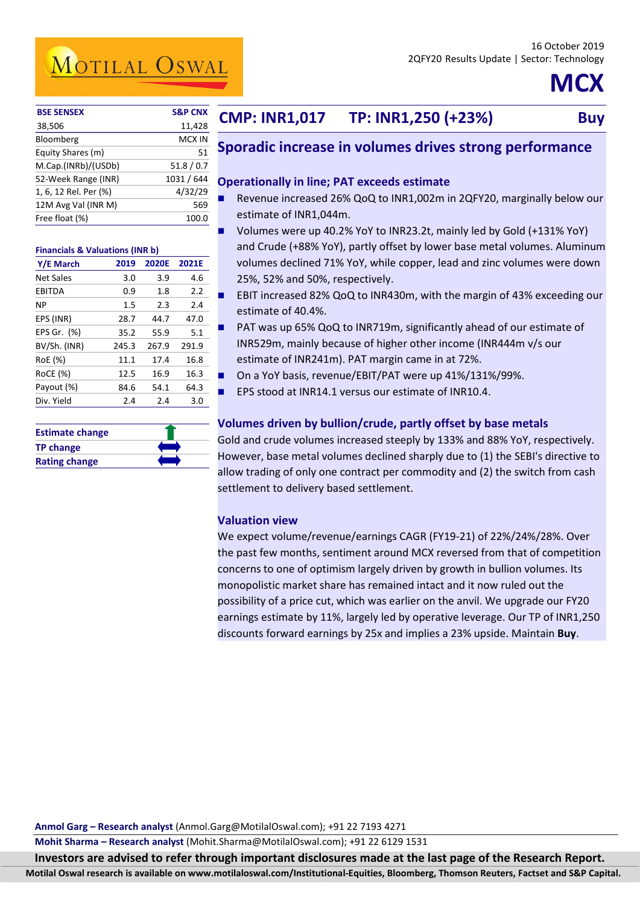MOTILAL OSWAL

# **MCX**

| <b>BSE SENSEX</b>     | <b>S&amp;P CNX</b> |
|-----------------------|--------------------|
| 38,506                | 11,428             |
| Bloomberg             | MCX IN             |
| Equity Shares (m)     | 51                 |
| M.Cap.(INRb)/(USDb)   | 51.8/0.7           |
| 52-Week Range (INR)   | 1031 / 644         |
| 1, 6, 12 Rel. Per (%) | 4/32/29            |
| 12M Avg Val (INR M)   | 569                |
| Free float (%)        | 100.0              |
|                       |                    |

#### **Financials & Valuations (INR b)**

| Y/E March        | 2019    | <b>2020E</b> | 2021E |
|------------------|---------|--------------|-------|
| <b>Net Sales</b> | 3.0     | 3.9          | 4.6   |
| EBITDA           | 0.9     | 1.8          | 2.2   |
| ΝP               | $1.5\,$ | 2.3          | 2.4   |
| EPS (INR)        | 28.7    | 44.7         | 47.0  |
| EPS Gr. (%)      | 35.2    | 55.9         | 5.1   |
| BV/Sh. (INR)     | 245.3   | 267.9        | 291.9 |
| RoE (%)          | 11.1    | 17.4         | 16.8  |
| RoCE (%)         | 12.5    | 16.9         | 16.3  |
| Payout (%)       | 84.6    | 54.1         | 64.3  |
| Div. Yield       | 2.4     | 2.4          | 3.0   |

| <b>Estimate change</b> |  |
|------------------------|--|
| <b>TP change</b>       |  |
| <b>Rating change</b>   |  |

### **Buy CMP: INR1,017 TP: INR1,250 (+23%) Buy**

### **Sporadic increase in volumes drives strong performance**

#### **Operationally in line; PAT exceeds estimate**

- Revenue increased 26% QoQ to INR1,002m in 2QFY20, marginally below our estimate of INR1,044m.
- Volumes were up 40.2% YoY to INR23.2t, mainly led by Gold (+131% YoY) and Crude (+88% YoY), partly offset by lower base metal volumes. Aluminum volumes declined 71% YoY, while copper, lead and zinc volumes were down 25%, 52% and 50%, respectively.
- EBIT increased 82% QoQ to INR430m, with the margin of 43% exceeding our estimate of 40.4%.
- PAT was up 65% QoQ to INR719m, significantly ahead of our estimate of INR529m, mainly because of higher other income (INR444m v/s our estimate of INR241m). PAT margin came in at 72%.
- On a YoY basis, revenue/EBIT/PAT were up 41%/131%/99%.
- EPS stood at INR14.1 versus our estimate of INR10.4.

#### **Volumes driven by bullion/crude, partly offset by base metals**

Gold and crude volumes increased steeply by 133% and 88% YoY, respectively. However, base metal volumes declined sharply due to (1) the SEBI's directive to allow trading of only one contract per commodity and (2) the switch from cash settlement to delivery based settlement.

#### **Valuation view**

We expect volume/revenue/earnings CAGR (FY19-21) of 22%/24%/28%. Over the past few months, sentiment around MCX reversed from that of competition concerns to one of optimism largely driven by growth in bullion volumes. Its monopolistic market share has remained intact and it now ruled out the possibility of a price cut, which was earlier on the anvil. We upgrade our FY20 earnings estimate by 11%, largely led by operative leverage. Our TP of INR1,250 discounts forward earnings by 25x and implies a 23% upside. Maintain **Buy**.

**Mohit Sharma – Research analyst** (Mohit.Sharma@MotilalOswal.com); +91 22 6129 1531

**Investors are advised to refer through important disclosures made at the last page of the Research Report. Motilal Oswal research is available on www.motilaloswal.com/Institutional-Equities, Bloomberg, Thomson Reuters, Factset and S&P Capital.**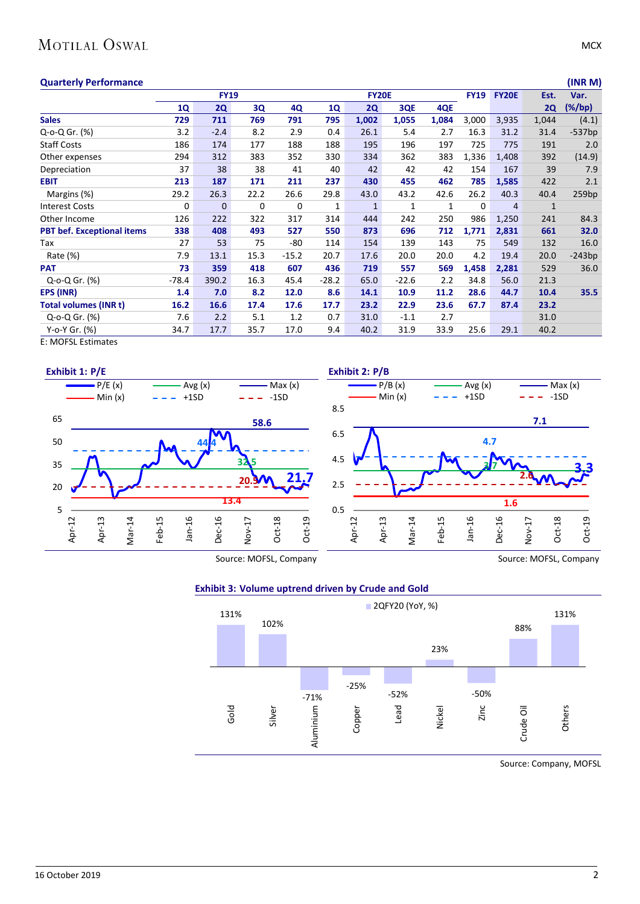### MOTILAL OSWAL

| <b>Quarterly Performance</b>      |             |              |      |         |           |              |         |       |             |                |              | (INR M)   |
|-----------------------------------|-------------|--------------|------|---------|-----------|--------------|---------|-------|-------------|----------------|--------------|-----------|
|                                   | <b>FY19</b> |              |      |         |           | <b>FY20E</b> |         |       |             | <b>FY20E</b>   | Est.         | Var.      |
|                                   | 1Q          | <b>2Q</b>    | 3Q   | 4Q      | <b>1Q</b> | <b>2Q</b>    | 3QE     | 4QE   |             |                | 2Q           | $(\%/bp)$ |
| <b>Sales</b>                      | 729         | 711          | 769  | 791     | 795       | 1,002        | 1,055   | 1,084 | 3,000       | 3,935          | 1,044        | (4.1)     |
| Q-o-Q Gr. (%)                     | 3.2         | $-2.4$       | 8.2  | 2.9     | 0.4       | 26.1         | 5.4     | 2.7   | 16.3        | 31.2           | 31.4         | $-537bp$  |
| <b>Staff Costs</b>                | 186         | 174          | 177  | 188     | 188       | 195          | 196     | 197   | 725         | 775            | 191          | 2.0       |
| Other expenses                    | 294         | 312          | 383  | 352     | 330       | 334          | 362     | 383   | 1,336       | 1,408          | 392          | (14.9)    |
| Depreciation                      | 37          | 38           | 38   | 41      | 40        | 42           | 42      | 42    | 154         | 167            | 39           | 7.9       |
| <b>EBIT</b>                       | 213         | 187          | 171  | 211     | 237       | 430          | 455     | 462   | 785         | 1,585          | 422          | 2.1       |
| Margins (%)                       | 29.2        | 26.3         | 22.2 | 26.6    | 29.8      | 43.0         | 43.2    | 42.6  | 26.2        | 40.3           | 40.4         | 259bp     |
| <b>Interest Costs</b>             | 0           | $\mathbf{0}$ | 0    | 0       | 1         | $\mathbf{1}$ | 1       | 1     | $\mathbf 0$ | $\overline{4}$ | $\mathbf{1}$ |           |
| Other Income                      | 126         | 222          | 322  | 317     | 314       | 444          | 242     | 250   | 986         | 1,250          | 241          | 84.3      |
| <b>PBT bef. Exceptional items</b> | 338         | 408          | 493  | 527     | 550       | 873          | 696     | 712   | 1,771       | 2,831          | 661          | 32.0      |
| Tax                               | 27          | 53           | 75   | -80     | 114       | 154          | 139     | 143   | 75          | 549            | 132          | 16.0      |
| Rate (%)                          | 7.9         | 13.1         | 15.3 | $-15.2$ | 20.7      | 17.6         | 20.0    | 20.0  | 4.2         | 19.4           | 20.0         | $-243bp$  |
| <b>PAT</b>                        | 73          | 359          | 418  | 607     | 436       | 719          | 557     | 569   | 1,458       | 2,281          | 529          | 36.0      |
| Q-o-Q Gr. (%)                     | $-78.4$     | 390.2        | 16.3 | 45.4    | $-28.2$   | 65.0         | $-22.6$ | 2.2   | 34.8        | 56.0           | 21.3         |           |
| EPS (INR)                         | 1.4         | 7.0          | 8.2  | 12.0    | 8.6       | 14.1         | 10.9    | 11.2  | 28.6        | 44.7           | 10.4         | 35.5      |
| <b>Total volumes (INR t)</b>      | 16.2        | 16.6         | 17.4 | 17.6    | 17.7      | 23.2         | 22.9    | 23.6  | 67.7        | 87.4           | 23.2         |           |
| Q-o-Q Gr. (%)                     | 7.6         | 2.2          | 5.1  | 1.2     | 0.7       | 31.0         | $-1.1$  | 2.7   |             |                | 31.0         |           |
| Y-o-Y Gr. (%)                     | 34.7        | 17.7         | 35.7 | 17.0    | 9.4       | 40.2         | 31.9    | 33.9  | 25.6        | 29.1           | 40.2         |           |

E: MOFSL Estimates







Source: Company, MOFSL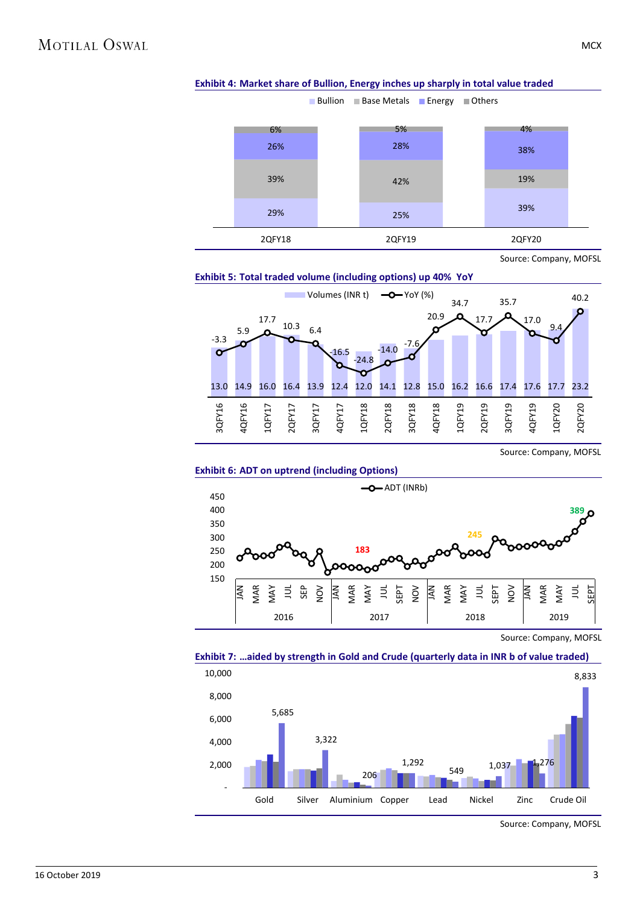

#### **Exhibit 4: Market share of Bullion, Energy inches up sharply in total value traded**

Source: Company, MOFSL





Source: Company, MOFSL





Source: Company, MOFSL



#### **Exhibit 7: …aided by strength in Gold and Crude (quarterly data in INR b of value traded)**

Source: Company, MOFSL

**MCX**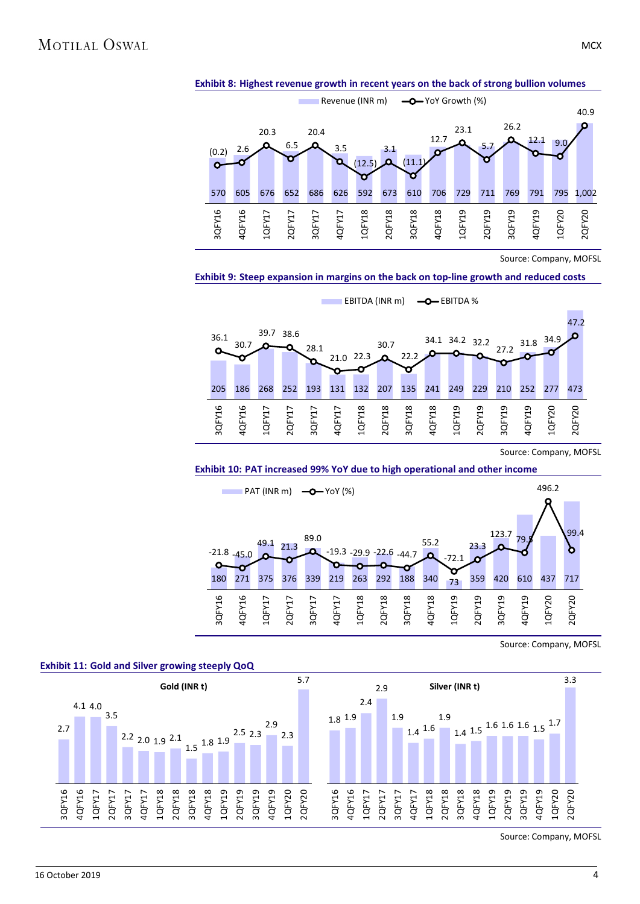



**Exhibit 9: Steep expansion in margins on the back on top-line growth and reduced costs**



Source: Company, MOFSL





Source: Company, MOFSL





Source: Company, MOFSL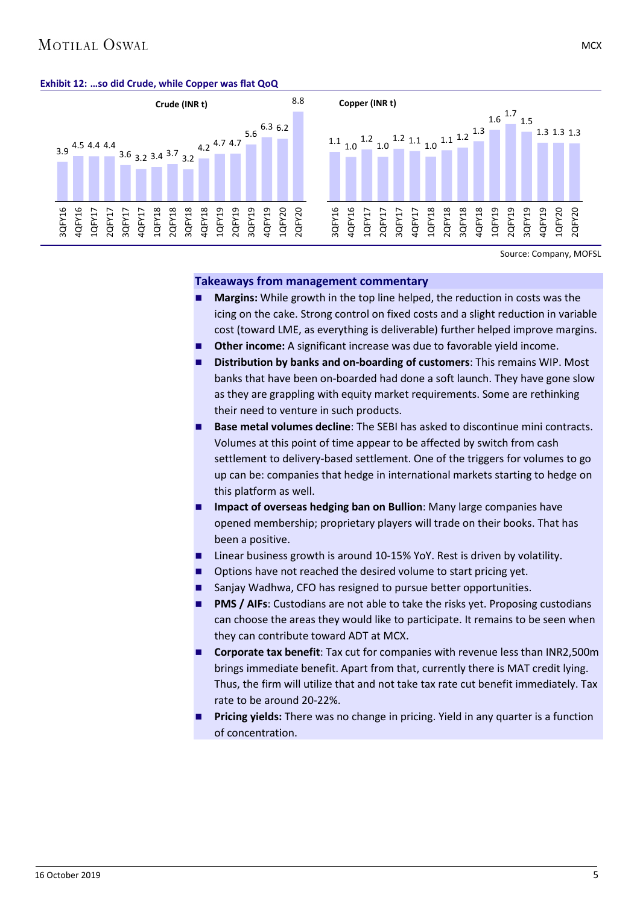### **MOTILAL OSWAL**

#### **Exhibit 12: …so did Crude, while Copper was flat QoQ**



Source: Company, MOFSL

#### **Takeaways from management commentary**

- **Margins:** While growth in the top line helped, the reduction in costs was the icing on the cake. Strong control on fixed costs and a slight reduction in variable cost (toward LME, as everything is deliverable) further helped improve margins.
- **Other income:** A significant increase was due to favorable yield income.
- **Distribution by banks and on-boarding of customers**: This remains WIP. Most banks that have been on-boarded had done a soft launch. They have gone slow as they are grappling with equity market requirements. Some are rethinking their need to venture in such products.
- **Base metal volumes decline**: The SEBI has asked to discontinue mini contracts. Volumes at this point of time appear to be affected by switch from cash settlement to delivery-based settlement. One of the triggers for volumes to go up can be: companies that hedge in international markets starting to hedge on this platform as well.
- **Impact of overseas hedging ban on Bullion**: Many large companies have opened membership; proprietary players will trade on their books. That has been a positive.
- Linear business growth is around 10-15% YoY. Rest is driven by volatility.
- Options have not reached the desired volume to start pricing yet.
- Sanjay Wadhwa, CFO has resigned to pursue better opportunities.
- **PMS / AIFs**: Custodians are not able to take the risks yet. Proposing custodians can choose the areas they would like to participate. It remains to be seen when they can contribute toward ADT at MCX.
- **Corporate tax benefit**: Tax cut for companies with revenue less than INR2,500m brings immediate benefit. Apart from that, currently there is MAT credit lying. Thus, the firm will utilize that and not take tax rate cut benefit immediately. Tax rate to be around 20-22%.
- **Pricing yields:** There was no change in pricing. Yield in any quarter is a function of concentration.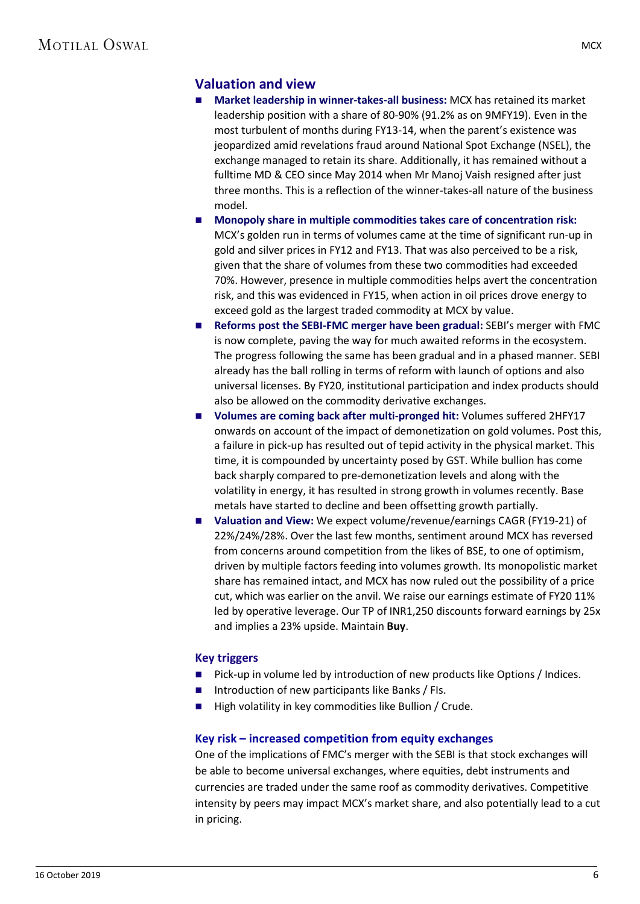#### **Valuation and view**

- **Market leadership in winner-takes-all business:** MCX has retained its market leadership position with a share of 80-90% (91.2% as on 9MFY19). Even in the most turbulent of months during FY13-14, when the parent's existence was jeopardized amid revelations fraud around National Spot Exchange (NSEL), the exchange managed to retain its share. Additionally, it has remained without a fulltime MD & CEO since May 2014 when Mr Manoj Vaish resigned after just three months. This is a reflection of the winner-takes-all nature of the business model.
- **Monopoly share in multiple commodities takes care of concentration risk:** MCX's golden run in terms of volumes came at the time of significant run-up in gold and silver prices in FY12 and FY13. That was also perceived to be a risk, given that the share of volumes from these two commodities had exceeded 70%. However, presence in multiple commodities helps avert the concentration risk, and this was evidenced in FY15, when action in oil prices drove energy to exceed gold as the largest traded commodity at MCX by value.
- **Reforms post the SEBI-FMC merger have been gradual:** SEBI's merger with FMC is now complete, paving the way for much awaited reforms in the ecosystem. The progress following the same has been gradual and in a phased manner. SEBI already has the ball rolling in terms of reform with launch of options and also universal licenses. By FY20, institutional participation and index products should also be allowed on the commodity derivative exchanges.
- Volumes are coming back after multi-pronged hit: Volumes suffered 2HFY17 onwards on account of the impact of demonetization on gold volumes. Post this, a failure in pick-up has resulted out of tepid activity in the physical market. This time, it is compounded by uncertainty posed by GST. While bullion has come back sharply compared to pre-demonetization levels and along with the volatility in energy, it has resulted in strong growth in volumes recently. Base metals have started to decline and been offsetting growth partially.
- **Valuation and View:** We expect volume/revenue/earnings CAGR (FY19-21) of 22%/24%/28%. Over the last few months, sentiment around MCX has reversed from concerns around competition from the likes of BSE, to one of optimism, driven by multiple factors feeding into volumes growth. Its monopolistic market share has remained intact, and MCX has now ruled out the possibility of a price cut, which was earlier on the anvil. We raise our earnings estimate of FY20 11% led by operative leverage. Our TP of INR1,250 discounts forward earnings by 25x and implies a 23% upside. Maintain **Buy**.

#### **Key triggers**

- Pick-up in volume led by introduction of new products like Options / Indices.
- Introduction of new participants like Banks / FIs.
- $\blacksquare$  High volatility in key commodities like Bullion / Crude.

#### **Key risk – increased competition from equity exchanges**

One of the implications of FMC's merger with the SEBI is that stock exchanges will be able to become universal exchanges, where equities, debt instruments and currencies are traded under the same roof as commodity derivatives. Competitive intensity by peers may impact MCX's market share, and also potentially lead to a cut in pricing.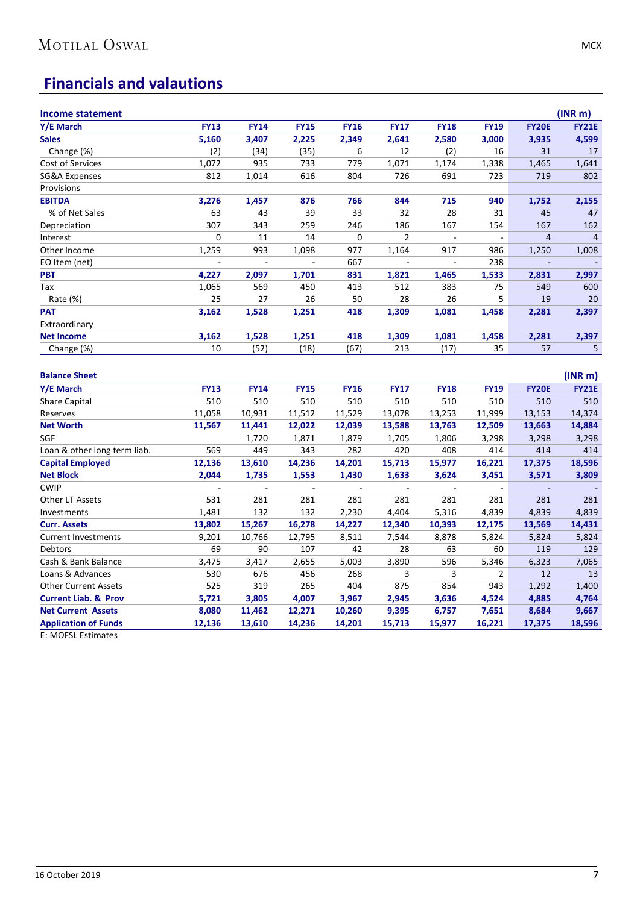## **Financials and valautions**

| <b>Income statement</b>         |                          |                          |                          |                          |                |                          |                |                          | (INR <sub>m</sub> )         |
|---------------------------------|--------------------------|--------------------------|--------------------------|--------------------------|----------------|--------------------------|----------------|--------------------------|-----------------------------|
| Y/E March                       | <b>FY13</b>              | <b>FY14</b>              | <b>FY15</b>              | <b>FY16</b>              | <b>FY17</b>    | <b>FY18</b>              | <b>FY19</b>    | <b>FY20E</b>             | <b>FY21E</b>                |
| <b>Sales</b>                    | 5,160                    | 3,407                    | 2,225                    | 2,349                    | 2,641          | 2,580                    | 3,000          | 3,935                    | 4,599                       |
| Change (%)                      | (2)                      | (34)                     | (35)                     | 6                        | 12             | (2)                      | 16             | 31                       | 17                          |
| Cost of Services                | 1,072                    | 935                      | 733                      | 779                      | 1,071          | 1,174                    | 1,338          | 1,465                    | 1,641                       |
| SG&A Expenses                   | 812                      | 1,014                    | 616                      | 804                      | 726            | 691                      | 723            | 719                      | 802                         |
| Provisions                      |                          |                          |                          |                          |                |                          |                |                          |                             |
| <b>EBITDA</b>                   | 3,276                    | 1,457                    | 876                      | 766                      | 844            | 715                      | 940            | 1,752                    | 2,155                       |
| % of Net Sales                  | 63                       | 43                       | 39                       | 33                       | 32             | 28                       | 31             | 45                       | 47                          |
| Depreciation                    | 307                      | 343                      | 259                      | 246                      | 186            | 167                      | 154            | 167                      | 162                         |
| Interest                        | $\pmb{0}$                | 11                       | 14                       | $\mathbf 0$              | $\overline{2}$ | $\sim$                   | $\sim$         | $\overline{4}$           | $\overline{4}$              |
| Other Income                    | 1,259                    | 993                      | 1,098                    | 977                      | 1,164          | 917                      | 986            | 1,250                    | 1,008                       |
| EO Item (net)                   | $\overline{\phantom{a}}$ | $\overline{\phantom{a}}$ | $\Box$                   | 667                      | $\blacksquare$ | $\overline{\phantom{a}}$ | 238            | $\overline{\phantom{a}}$ | $\mathcal{L}_{\mathcal{A}}$ |
| <b>PBT</b>                      | 4,227                    | 2,097                    | 1,701                    | 831                      | 1,821          | 1,465                    | 1,533          | 2,831                    | 2,997                       |
| Tax                             | 1,065                    | 569                      | 450                      | 413                      | 512            | 383                      | 75             | 549                      | 600                         |
| Rate (%)                        | 25                       | 27                       | 26                       | 50                       | 28             | 26                       | 5              | 19                       | 20                          |
| PAT                             | 3,162                    | 1,528                    | 1,251                    | 418                      | 1,309          | 1,081                    | 1,458          | 2,281                    | 2,397                       |
| Extraordinary                   |                          |                          |                          |                          |                |                          |                |                          |                             |
| <b>Net Income</b>               | 3,162                    | 1,528                    | 1,251                    | 418                      | 1,309          | 1,081                    | 1,458          | 2,281                    | 2,397                       |
| Change (%)                      | 10                       | (52)                     | (18)                     | (67)                     | 213            | (17)                     | 35             | 57                       | 5                           |
| <b>Balance Sheet</b>            |                          |                          |                          |                          |                |                          |                |                          | (INR <sub>m</sub> )         |
| Y/E March                       | <b>FY13</b>              | <b>FY14</b>              | <b>FY15</b>              | FY16                     | <b>FY17</b>    | <b>FY18</b>              | <b>FY19</b>    | <b>FY20E</b>             | <b>FY21E</b>                |
| <b>Share Capital</b>            | 510                      | 510                      | 510                      | 510                      | 510            | 510                      | 510            | 510                      | 510                         |
| Reserves                        | 11,058                   | 10,931                   | 11,512                   | 11,529                   | 13,078         | 13,253                   | 11,999         | 13,153                   | 14,374                      |
| <b>Net Worth</b>                | 11,567                   | 11,441                   | 12,022                   | 12,039                   | 13,588         | 13,763                   | 12,509         | 13,663                   | 14,884                      |
| SGF                             |                          | 1,720                    | 1,871                    | 1,879                    | 1,705          | 1,806                    | 3,298          | 3,298                    | 3,298                       |
| Loan & other long term liab.    | 569                      | 449                      | 343                      | 282                      | 420            | 408                      | 414            | 414                      | 414                         |
| <b>Capital Employed</b>         | 12,136                   | 13,610                   | 14,236                   | 14,201                   | 15,713         | 15,977                   | 16,221         | 17,375                   | 18,596                      |
| <b>Net Block</b>                | 2,044                    | 1,735                    | 1,553                    | 1,430                    | 1,633          | 3,624                    | 3,451          | 3,571                    | 3,809                       |
| <b>CWIP</b>                     | $\overline{\phantom{a}}$ | $\overline{\phantom{a}}$ | $\overline{\phantom{a}}$ | $\overline{\phantom{a}}$ | $\Box$         | $\overline{\phantom{a}}$ | $\Box$         | $\overline{\phantom{a}}$ |                             |
| Other LT Assets                 | 531                      | 281                      | 281                      | 281                      | 281            | 281                      | 281            | 281                      | 281                         |
| Investments                     | 1,481                    | 132                      | 132                      | 2,230                    | 4,404          | 5,316                    | 4,839          | 4,839                    | 4,839                       |
| <b>Curr. Assets</b>             | 13,802                   | 15,267                   | 16,278                   | 14,227                   | 12,340         | 10,393                   | 12,175         | 13,569                   | 14,431                      |
| <b>Current Investments</b>      | 9,201                    | 10,766                   | 12,795                   | 8,511                    | 7,544          | 8,878                    | 5,824          | 5,824                    | 5,824                       |
| Debtors                         | 69                       | 90                       | 107                      | 42                       | 28             | 63                       | 60             | 119                      | 129                         |
| Cash & Bank Balance             | 3,475                    | 3,417                    | 2,655                    | 5,003                    | 3,890          | 596                      | 5,346          | 6,323                    | 7,065                       |
| Loans & Advances                | 530                      | 676                      | 456                      | 268                      | 3              | 3                        | $\overline{2}$ | 12                       | 13                          |
| <b>Other Current Assets</b>     | 525                      | 319                      | 265                      | 404                      | 875            | 854                      | 943            | 1,292                    | 1,400                       |
| <b>Current Liab. &amp; Prov</b> | 5,721                    | 3,805                    | 4,007                    | 3,967                    | 2,945          | 3,636                    | 4,524          | 4,885                    | 4,764                       |
| <b>Net Current Assets</b>       | 8,080                    | 11,462                   | 12,271                   | 10,260                   | 9,395          | 6,757                    | 7,651          | 8,684                    | 9,667                       |
| <b>Application of Funds</b>     | 12,136                   | 13,610                   | 14,236                   | 14,201                   | 15,713         | 15,977                   | 16,221         | 17,375                   | 18,596                      |

E: MOFSL Estimates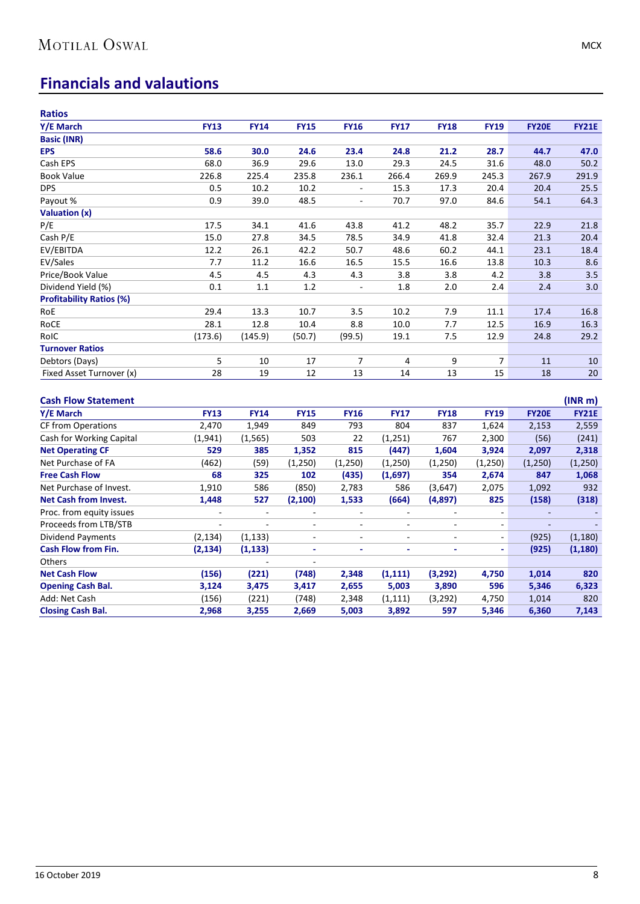## **Financials and valautions**

| <b>Ratios</b>                   |                |                |                          |                          |                          |                          |                          |              |                     |
|---------------------------------|----------------|----------------|--------------------------|--------------------------|--------------------------|--------------------------|--------------------------|--------------|---------------------|
| Y/E March                       | <b>FY13</b>    | <b>FY14</b>    | <b>FY15</b>              | <b>FY16</b>              | <b>FY17</b>              | <b>FY18</b>              | <b>FY19</b>              | <b>FY20E</b> | <b>FY21E</b>        |
| <b>Basic (INR)</b>              |                |                |                          |                          |                          |                          |                          |              |                     |
| <b>EPS</b>                      | 58.6           | 30.0           | 24.6                     | 23.4                     | 24.8                     | 21.2                     | 28.7                     | 44.7         | 47.0                |
| Cash EPS                        | 68.0           | 36.9           | 29.6                     | 13.0                     | 29.3                     | 24.5                     | 31.6                     | 48.0         | 50.2                |
| <b>Book Value</b>               | 226.8          | 225.4          | 235.8                    | 236.1                    | 266.4                    | 269.9                    | 245.3                    | 267.9        | 291.9               |
| <b>DPS</b>                      | 0.5            | 10.2           | 10.2                     |                          | 15.3                     | 17.3                     | 20.4                     | 20.4         | 25.5                |
| Payout %                        | 0.9            | 39.0           | 48.5                     | $\mathcal{L}$            | 70.7                     | 97.0                     | 84.6                     | 54.1         | 64.3                |
| <b>Valuation (x)</b>            |                |                |                          |                          |                          |                          |                          |              |                     |
| P/E                             | 17.5           | 34.1           | 41.6                     | 43.8                     | 41.2                     | 48.2                     | 35.7                     | 22.9         | 21.8                |
| Cash P/E                        | 15.0           | 27.8           | 34.5                     | 78.5                     | 34.9                     | 41.8                     | 32.4                     | 21.3         | 20.4                |
| EV/EBITDA                       | 12.2           | 26.1           | 42.2                     | 50.7                     | 48.6                     | 60.2                     | 44.1                     | 23.1         | 18.4                |
| EV/Sales                        | 7.7            | 11.2           | 16.6                     | 16.5                     | 15.5                     | 16.6                     | 13.8                     | 10.3         | 8.6                 |
| Price/Book Value                | 4.5            | 4.5            | 4.3                      | 4.3                      | 3.8                      | 3.8                      | 4.2                      | 3.8          | 3.5                 |
| Dividend Yield (%)              | 0.1            | $1.1\,$        | 1.2                      | ÷,                       | 1.8                      | 2.0                      | 2.4                      | 2.4          | 3.0                 |
| <b>Profitability Ratios (%)</b> |                |                |                          |                          |                          |                          |                          |              |                     |
| RoE                             | 29.4           | 13.3           | 10.7                     | 3.5                      | 10.2                     | 7.9                      | 11.1                     | 17.4         | 16.8                |
| RoCE                            | 28.1           | 12.8           | 10.4                     | 8.8                      | 10.0                     | 7.7                      | 12.5                     | 16.9         | 16.3                |
| RoIC                            | (173.6)        | (145.9)        | (50.7)                   | (99.5)                   | 19.1                     | 7.5                      | 12.9                     | 24.8         | 29.2                |
| <b>Turnover Ratios</b>          |                |                |                          |                          |                          |                          |                          |              |                     |
| Debtors (Days)                  | 5              | 10             | 17                       | $\overline{7}$           | 4                        | 9                        | $\overline{7}$           | 11           | 10                  |
| Fixed Asset Turnover (x)        | 28             | 19             | 12                       | 13                       | 14                       | 13                       | 15                       | 18           | 20                  |
|                                 |                |                |                          |                          |                          |                          |                          |              |                     |
| <b>Cash Flow Statement</b>      |                |                |                          |                          |                          |                          |                          |              | (INR <sub>m</sub> ) |
| <b>Y/E March</b>                | <b>FY13</b>    | <b>FY14</b>    | <b>FY15</b>              | <b>FY16</b>              | <b>FY17</b>              | <b>FY18</b>              | <b>FY19</b>              | <b>FY20E</b> | <b>FY21E</b>        |
| <b>CF from Operations</b>       | 2,470          | 1,949          | 849                      | 793                      | 804                      | 837                      | 1,624                    | 2,153        | 2,559               |
| Cash for Working Capital        | (1, 941)       | (1, 565)       | 503                      | 22                       | (1, 251)                 | 767                      | 2,300                    | (56)         | (241)               |
| <b>Net Operating CF</b>         | 529            | 385            | 1,352                    | 815                      | (447)                    | 1,604                    | 3,924                    | 2,097        | 2,318               |
| Net Purchase of FA              | (462)          | (59)           | (1, 250)                 | (1,250)                  | (1,250)                  | (1,250)                  | (1,250)                  | (1,250)      | (1,250)             |
| <b>Free Cash Flow</b>           | 68             | 325            | 102                      | (435)                    | (1,697)                  | 354                      | 2,674                    | 847          | 1,068               |
| Net Purchase of Invest.         | 1,910          | 586            | (850)                    | 2,783                    | 586                      | (3,647)                  | 2,075                    | 1,092        | 932                 |
| <b>Net Cash from Invest.</b>    | 1,448          | 527            | (2, 100)                 | 1,533                    | (664)                    | (4,897)                  | 825                      | (158)        | (318)               |
| Proc. from equity issues        | $\frac{1}{2}$  | $\overline{a}$ | $\sim$                   | $\overline{\phantom{a}}$ | $\sim$                   | $\sim$                   | ÷,                       |              | ÷.                  |
| Proceeds from LTB/STB           | $\blacksquare$ |                | $\overline{\phantom{a}}$ | $\overline{\phantom{a}}$ | $\overline{\phantom{a}}$ | $\overline{\phantom{a}}$ | $\overline{\phantom{a}}$ |              |                     |
| <b>Dividend Payments</b>        | (2, 134)       | (1, 133)       | $\overline{\phantom{a}}$ | $\overline{\phantom{a}}$ | $\overline{\phantom{a}}$ | $\overline{\phantom{a}}$ | $\overline{\phantom{a}}$ | (925)        | (1, 180)            |
| <b>Cash Flow from Fin.</b>      | (2, 134)       | (1, 133)       | $\blacksquare$           | ä,                       | $\tilde{\phantom{a}}$    | ä,                       | $\blacksquare$           | (925)        | (1, 180)            |
| Others                          |                |                |                          |                          |                          |                          |                          |              |                     |
| <b>Net Cash Flow</b>            | (156)          | (221)          | (748)                    | 2,348                    | (1, 111)                 | (3,292)                  | 4,750                    | 1,014        | 820                 |
| <b>Opening Cash Bal.</b>        | 3,124          | 3,475          | 3,417                    | 2,655                    | 5,003                    | 3,890                    | 596                      | 5,346        | 6,323               |
| Add: Net Cash                   | (156)          | (221)          | (748)                    | 2,348                    | (1, 111)                 | (3, 292)                 | 4,750                    | 1,014        | 820                 |
| <b>Closing Cash Bal.</b>        | 2,968          | 3,255          | 2,669                    | 5,003                    | 3,892                    | 597                      | 5,346                    | 6,360        | 7,143               |
|                                 |                |                |                          |                          |                          |                          |                          |              |                     |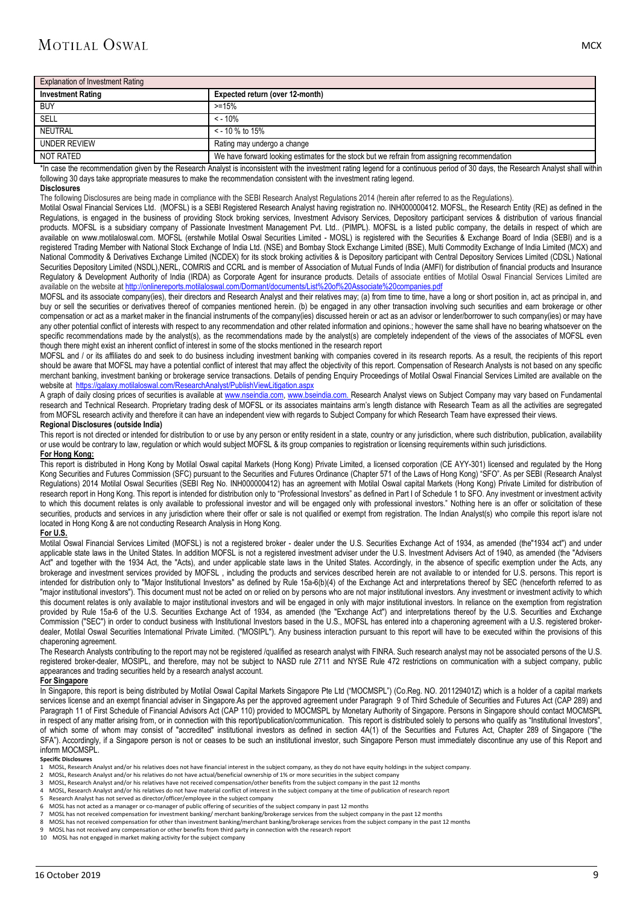| <b>Explanation of Investment Rating</b> |                                                                                              |  |  |  |  |
|-----------------------------------------|----------------------------------------------------------------------------------------------|--|--|--|--|
| <b>Investment Rating</b>                | Expected return (over 12-month)                                                              |  |  |  |  |
| <b>BUY</b>                              | $> = 15%$                                                                                    |  |  |  |  |
| SELL                                    | $\leq$ - 10%                                                                                 |  |  |  |  |
| NEUTRAL                                 | $<$ - 10 % to 15%                                                                            |  |  |  |  |
| <b>UNDER REVIEW</b>                     | Rating may undergo a change                                                                  |  |  |  |  |
| NOT RATED                               | We have forward looking estimates for the stock but we refrain from assigning recommendation |  |  |  |  |

\*In case the recommendation given by the Research Analyst is inconsistent with the investment rating legend for a continuous period of 30 days, the Research Analyst shall within following 30 days take appropriate measures to make the recommendation consistent with the investment rating legend.

#### **Disclosures**

The following Disclosures are being made in compliance with the SEBI Research Analyst Regulations 2014 (herein after referred to as the Regulations).

Motilal Oswal Financial Services Ltd. (MOFSL) is a SEBI Registered Research Analyst having registration no. INH000000412. MOFSL, the Research Entity (RE) as defined in the Regulations, is engaged in the business of providing Stock broking services, Investment Advisory Services, Depository participant services & distribution of various financial products. MOFSL is a subsidiary company of Passionate Investment Management Pvt. Ltd.. (PIMPL). MOFSL is a listed public company, the details in respect of which are available on [www.motilaloswal.com.](http://www.motilaloswal.com/) MOFSL (erstwhile Motilal Oswal Securities Limited - MOSL) is registered with the Securities & Exchange Board of India (SEBI) and is a registered Trading Member with National Stock Exchange of India Ltd. (NSE) and Bombay Stock Exchange Limited (BSE), Multi Commodity Exchange of India Limited (MCX) and National Commodity & Derivatives Exchange Limited (NCDEX) for its stock broking activities & is Depository participant with Central Depository Services Limited (CDSL) National Securities Depository Limited (NSDL),NERL, COMRIS and CCRL and is member of Association of Mutual Funds of India (AMFI) for distribution of financial products and Insurance Regulatory & Development Authority of India (IRDA) as Corporate Agent for insurance products. Details of associate entities of Motilal Oswal Financial Services Limited are available on the website a[t http://onlinereports.motilaloswal.com/Dormant/documents/List%20of%20Associate%20companies.pdf](http://onlinereports.motilaloswal.com/Dormant/documents/List%20of%20Associate%20companies.pdf)

MOFSL and its associate company(ies), their directors and Research Analyst and their relatives may; (a) from time to time, have a long or short position in, act as principal in, and<br>MOFSL and its associate company(ies), th buy or sell the securities or derivatives thereof of companies mentioned herein. (b) be engaged in any other transaction involving such securities and earn brokerage or other compensation or act as a market maker in the financial instruments of the company(ies) discussed herein or act as an advisor or lender/borrower to such company(ies) or may have any other potential conflict of interests with respect to any recommendation and other related information and opinions.; however the same shall have no bearing whatsoever on the specific recommendations made by the analyst(s), as the recommendations made by the analyst(s) are completely independent of the views of the associates of MOFSL even though there might exist an inherent conflict of interest in some of the stocks mentioned in the research report

MOFSL and / or its affiliates do and seek to do business including investment banking with companies covered in its research reports. As a result, the recipients of this report should be aware that MOFSL may have a potential conflict of interest that may affect the objectivity of this report. Compensation of Research Analysts is not based on any specific merchant banking, investment banking or brokerage service transactions. Details of pending Enquiry Proceedings of Motilal Oswal Financial Services Limited are available on the website at<https://galaxy.motilaloswal.com/ResearchAnalyst/PublishViewLitigation.aspx>

A graph of daily closing prices of securities is available a[t www.nseindia.com,](http://www.nseindia.com/) [www.bseindia.com.](http://www.bseindia.com/) Research Analyst views on Subject Company may vary based on Fundamental research and Technical Research. Proprietary trading desk of MOFSL or its associates maintains arm's length distance with Research Team as all the activities are segregated from MOFSL research activity and therefore it can have an independent view with regards to Subject Company for which Research Team have expressed their views.

#### **Regional Disclosures (outside India)**

This report is not directed or intended for distribution to or use by any person or entity resident in a state, country or any jurisdiction, where such distribution, publication, availability or use would be contrary to law, regulation or which would subject MOFSL & its group companies to registration or licensing requirements within such jurisdictions. **For Hong Kong:** 

This report is distributed in Hong Kong by Motilal Oswal capital Markets (Hong Kong) Private Limited, a licensed corporation (CE AYY-301) licensed and regulated by the Hong Kong Securities and Futures Commission (SFC) pursuant to the Securities and Futures Ordinance (Chapter 571 of the Laws of Hong Kong) "SFO". As per SEBI (Research Analyst Regulations) 2014 Motilal Oswal Securities (SEBI Reg No. INH000000412) has an agreement with Motilal Oswal capital Markets (Hong Kong) Private Limited for distribution of research report in Hong Kong. This report is intended for distribution only to "Professional Investors" as defined in Part I of Schedule 1 to SFO. Any investment or investment activity to which this document relates is only available to professional investor and will be engaged only with professional investors." Nothing here is an offer or solicitation of these securities, products and services in any jurisdiction where their offer or sale is not qualified or exempt from registration. The Indian Analyst(s) who compile this report is/are not located in Hong Kong & are not conducting Research Analysis in Hong Kong.

#### **For U.S.**

Motilal Oswal Financial Services Limited (MOFSL) is not a registered broker - dealer under the U.S. Securities Exchange Act of 1934, as amended (the 1934 act") and under applicable state laws in the United States. In addition MOFSL is not a registered investment adviser under the U.S. Investment Advisers Act of 1940, as amended (the "Advisers Act" and together with the 1934 Act, the "Acts), and under applicable state laws in the United States. Accordingly, in the absence of specific exemption under the Acts, any brokerage and investment services provided by MOFSL , including the products and services described herein are not available to or intended for U.S. persons. This report is intended for distribution only to "Major Institutional Investors" as defined by Rule 15a-6(b)(4) of the Exchange Act and interpretations thereof by SEC (henceforth referred to as "major institutional investors"). This document must not be acted on or relied on by persons who are not major institutional investors. Any investment or investment activity to which this document relates is only available to major institutional investors and will be engaged in only with major institutional investors. In reliance on the exemption from registration provided by Rule 15a-6 of the U.S. Securities Exchange Act of 1934, as amended (the "Exchange Act") and interpretations thereof by the U.S. Securities and Exchange Commission ("SEC") in order to conduct business with Institutional Investors based in the U.S., MOFSL has entered into a chaperoning agreement with a U.S. registered brokerdealer, Motilal Oswal Securities International Private Limited. ("MOSIPL"). Any business interaction pursuant to this report will have to be executed within the provisions of this chaperoning agreement.

The Research Analysts contributing to the report may not be registered /qualified as research analyst with FINRA. Such research analyst may not be associated persons of the U.S. registered broker-dealer, MOSIPL, and therefore, may not be subject to NASD rule 2711 and NYSE Rule 472 restrictions on communication with a subject company, public appearances and trading securities held by a research analyst account.

#### **For Singapore**

In Singapore, this report is being distributed by Motilal Oswal Capital Markets Singapore Pte Ltd ("MOCMSPL") (Co.Reg. NO. 201129401Z) which is a holder of a capital markets services license and an exempt financial adviser in Singapore.As per the approved agreement under Paragraph 9 of Third Schedule of Securities and Futures Act (CAP 289) and Paragraph 11 of First Schedule of Financial Advisors Act (CAP 110) provided to MOCMSPL by Monetary Authority of Singapore. Persons in Singapore should contact MOCMSPL in respect of any matter arising from, or in connection with this report/publication/communication. This report is distributed solely to persons who qualify as "Institutional Investors", of which some of whom may consist of "accredited" institutional investors as defined in section 4A(1) of the Securities and Futures Act, Chapter 289 of Singapore ("the SFA"). Accordingly, if a Singapore person is not or ceases to be such an institutional investor, such Singapore Person must immediately discontinue any use of this Report and inform MOCMSPL.

#### **Specific Disclosures**

- 1 MOSL, Research Analyst and/or his relatives does not have financial interest in the subject company, as they do not have equity holdings in the subject company.
- 2 MOSL, Research Analyst and/or his relatives do not have actual/beneficial ownership of 1% or more securities in the subject company<br>3 MOSL Research Analyst and/or his relatives have not received compensation/other henefi
- 3 MOSL, Research Analyst and/or his relatives have not received compensation/other benefits from the subject company in the past 12 months
- 4 MOSL, Research Analyst and/or his relatives do not have material conflict of interest in the subject company at the time of publication of research report<br>5 Research Analyst has not served as director/officer/employee in
- 5 Research Analyst has not served as director/officer/employee in the subject company<br>6 MOSL has not acted as a manager or co-manager of public offering of securities of the
- 6 MOSL has not acted as a manager or co-manager of public offering of securities of the subject company in past 12 months
- 7 MOSL has not received compensation for investment banking/ merchant banking/brokerage services from the subject company in the past 12 months
- 8 MOSL has not received compensation for other than investment banking/merchant banking/brokerage services from the subject company in the past 12 months
- 9 MOSL has not received any compensation or other benefits from third party in connection with the research report 10 MOSL has not engaged in market making activity for the subject company
-